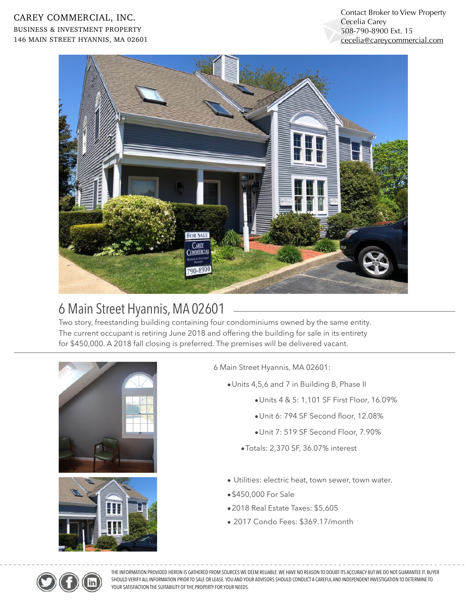Contact Broker to View Property Cecelia Carey 508-790-8900 Ext. 15 [cecelia@careycommercial.com](mailto:cecelia@careycommercial.com?subject=68%20Camp%20Street%20Hyannis%20Dietz)



## 6 Main Street Hyannis, MA 02601

Two story, freestanding building containing four condominiums owned by the same entity. The current occupant is retiring June 2018 and offering the building for sale in its entirety for \$450,000. A 2018 fall closing is preferred. The premises will be delivered vacant.





6 Main Street Hyannis, MA 02601:

- •Units 4,5,6 and 7 in Building B, Phase II
	- •Units 4 & 5: 1,101 SF First Floor, 16.09%
		- •Unit 6: 794 SF Second floor, 12.08%
	- •Unit 7: 519 SF Second Floor, 7.90%
	- •Totals: 2,370 SF, 36.07% interest
- Utilities: electric heat, town sewer, town water.
- •\$450,000 For Sale
- •2018 Real Estate Taxes: \$5,605
- 2017 Condo Fees: \$369.17/month



THE INFORMATION PROVIDED HEREIN IS GATHERED FROM SOURCES WE DEEM RELIABLE. WE HAVE NO REASON TO DOUBT ITS ACCURACY BUT WE DO NOT GUARANTEE IT. BUYER SHOULD VERIFY ALL INFORMATION PRIOR TO SALE OR LEASE. YOU AND YOUR ADVISORS SHOULD CONDUCT A CAREFUL AND INDEPENDENT INVESTIGATION TO DETERMINE TO YOUR SATISFACTION THE SUITABILITY OF THE PROPERTY FOR YOUR NEEDS.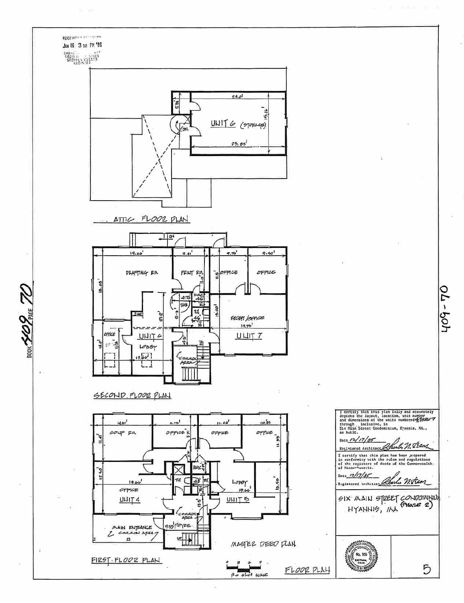